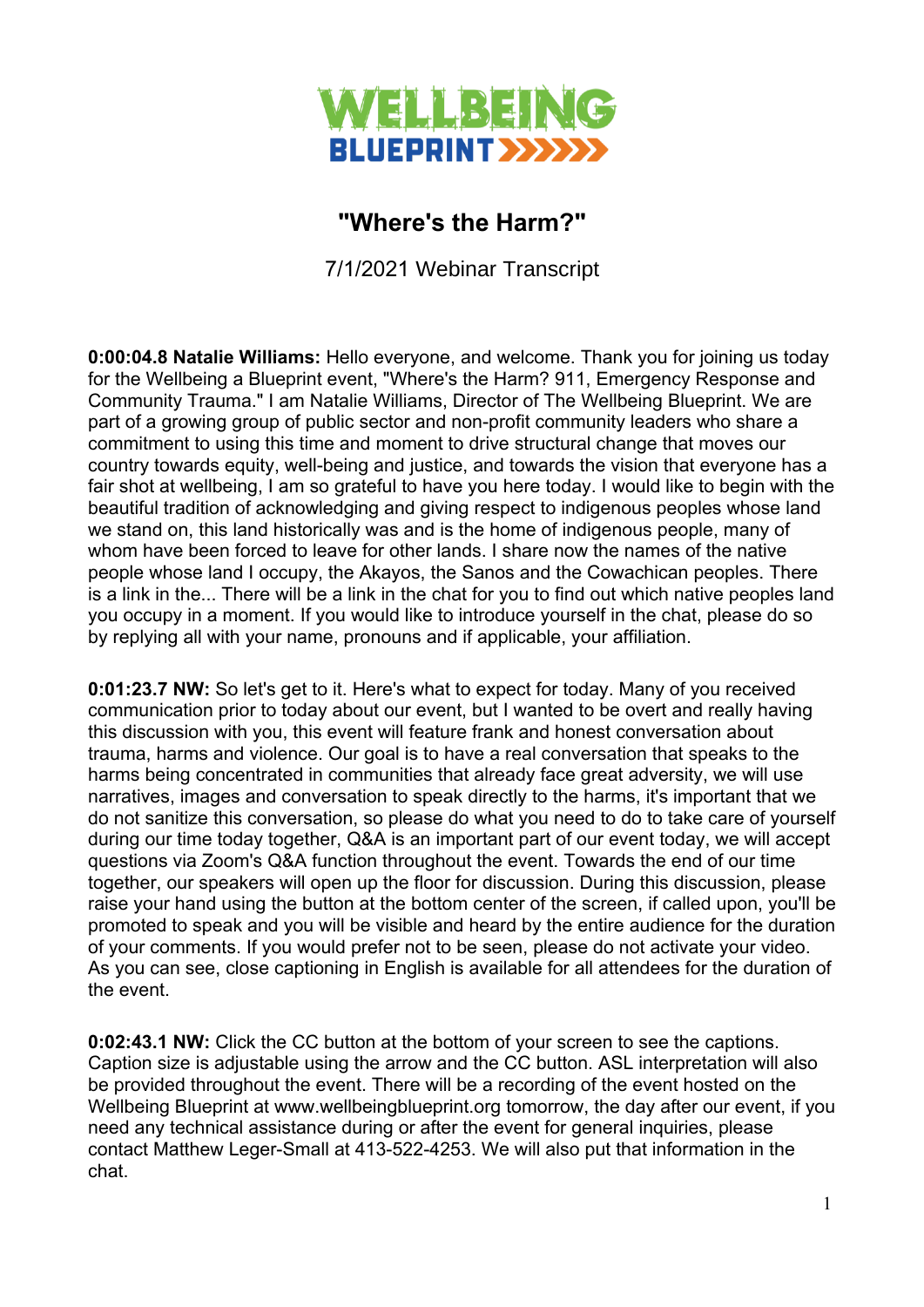

## **"Where's the Harm?"**

7/1/2021 Webinar Transcript

**0:00:04.8 Natalie Williams:** Hello everyone, and welcome. Thank you for joining us today for the Wellbeing a Blueprint event, "Where's the Harm? 911, Emergency Response and Community Trauma." I am Natalie Williams, Director of The Wellbeing Blueprint. We are part of a growing group of public sector and non-profit community leaders who share a commitment to using this time and moment to drive structural change that moves our country towards equity, well-being and justice, and towards the vision that everyone has a fair shot at wellbeing, I am so grateful to have you here today. I would like to begin with the beautiful tradition of acknowledging and giving respect to indigenous peoples whose land we stand on, this land historically was and is the home of indigenous people, many of whom have been forced to leave for other lands. I share now the names of the native people whose land I occupy, the Akayos, the Sanos and the Cowachican peoples. There is a link in the... There will be a link in the chat for you to find out which native peoples land you occupy in a moment. If you would like to introduce yourself in the chat, please do so by replying all with your name, pronouns and if applicable, your affiliation.

**0:01:23.7 NW:** So let's get to it. Here's what to expect for today. Many of you received communication prior to today about our event, but I wanted to be overt and really having this discussion with you, this event will feature frank and honest conversation about trauma, harms and violence. Our goal is to have a real conversation that speaks to the harms being concentrated in communities that already face great adversity, we will use narratives, images and conversation to speak directly to the harms, it's important that we do not sanitize this conversation, so please do what you need to do to take care of yourself during our time today together, Q&A is an important part of our event today, we will accept questions via Zoom's Q&A function throughout the event. Towards the end of our time together, our speakers will open up the floor for discussion. During this discussion, please raise your hand using the button at the bottom center of the screen, if called upon, you'll be promoted to speak and you will be visible and heard by the entire audience for the duration of your comments. If you would prefer not to be seen, please do not activate your video. As you can see, close captioning in English is available for all attendees for the duration of the event.

**0:02:43.1 NW:** Click the CC button at the bottom of your screen to see the captions. Caption size is adjustable using the arrow and the CC button. ASL interpretation will also be provided throughout the event. There will be a recording of the event hosted on the Wellbeing Blueprint at www.wellbeingblueprint.org tomorrow, the day after our event, if you need any technical assistance during or after the event for general inquiries, please contact Matthew Leger-Small at 413-522-4253. We will also put that information in the chat.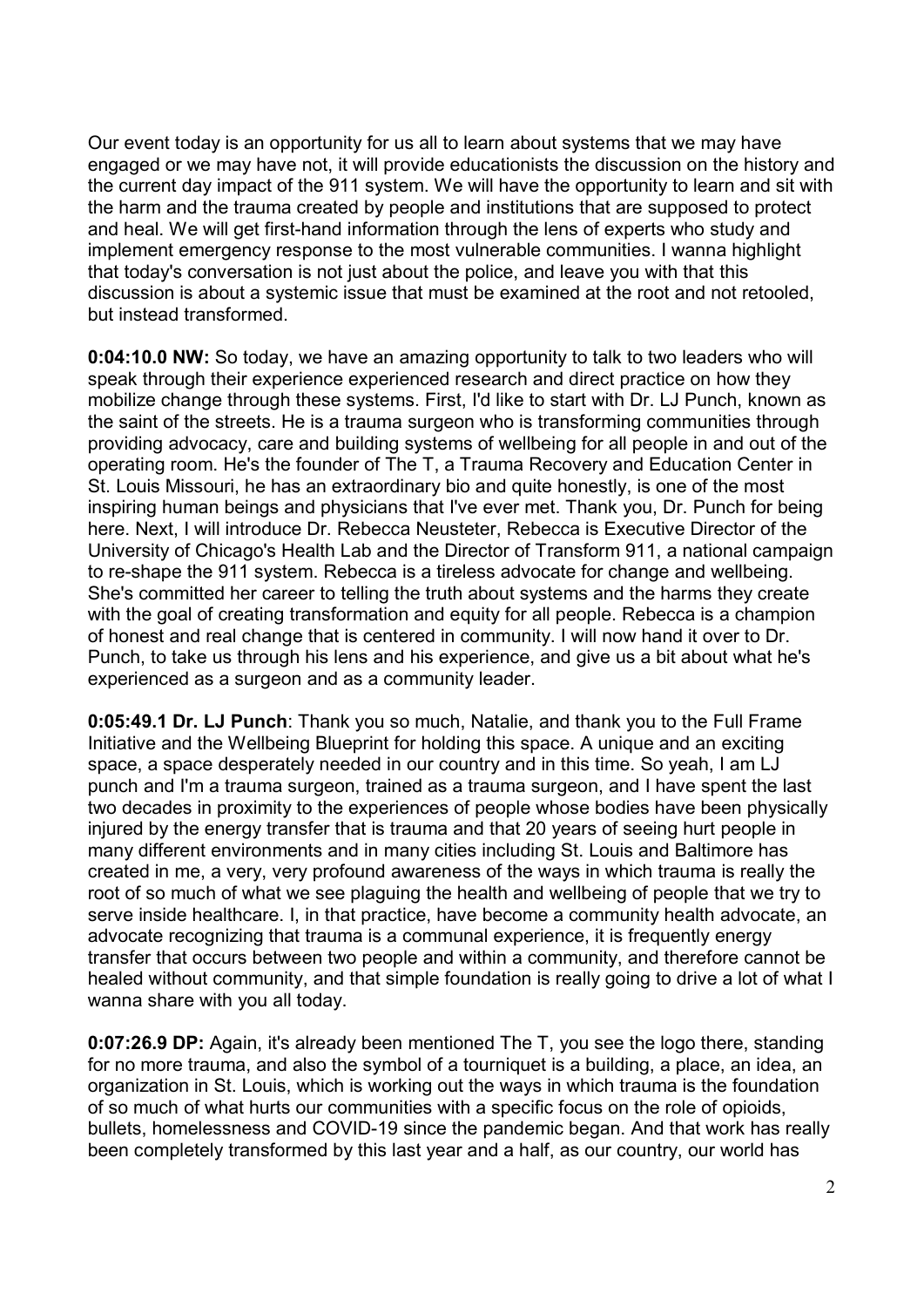Our event today is an opportunity for us all to learn about systems that we may have engaged or we may have not, it will provide educationists the discussion on the history and the current day impact of the 911 system. We will have the opportunity to learn and sit with the harm and the trauma created by people and institutions that are supposed to protect and heal. We will get first-hand information through the lens of experts who study and implement emergency response to the most vulnerable communities. I wanna highlight that today's conversation is not just about the police, and leave you with that this discussion is about a systemic issue that must be examined at the root and not retooled, but instead transformed.

**0:04:10.0 NW:** So today, we have an amazing opportunity to talk to two leaders who will speak through their experience experienced research and direct practice on how they mobilize change through these systems. First, I'd like to start with Dr. LJ Punch, known as the saint of the streets. He is a trauma surgeon who is transforming communities through providing advocacy, care and building systems of wellbeing for all people in and out of the operating room. He's the founder of The T, a Trauma Recovery and Education Center in St. Louis Missouri, he has an extraordinary bio and quite honestly, is one of the most inspiring human beings and physicians that I've ever met. Thank you, Dr. Punch for being here. Next, I will introduce Dr. Rebecca Neusteter, Rebecca is Executive Director of the University of Chicago's Health Lab and the Director of Transform 911, a national campaign to re-shape the 911 system. Rebecca is a tireless advocate for change and wellbeing. She's committed her career to telling the truth about systems and the harms they create with the goal of creating transformation and equity for all people. Rebecca is a champion of honest and real change that is centered in community. I will now hand it over to Dr. Punch, to take us through his lens and his experience, and give us a bit about what he's experienced as a surgeon and as a community leader.

**0:05:49.1 Dr. LJ Punch**: Thank you so much, Natalie, and thank you to the Full Frame Initiative and the Wellbeing Blueprint for holding this space. A unique and an exciting space, a space desperately needed in our country and in this time. So yeah, I am LJ punch and I'm a trauma surgeon, trained as a trauma surgeon, and I have spent the last two decades in proximity to the experiences of people whose bodies have been physically injured by the energy transfer that is trauma and that 20 years of seeing hurt people in many different environments and in many cities including St. Louis and Baltimore has created in me, a very, very profound awareness of the ways in which trauma is really the root of so much of what we see plaguing the health and wellbeing of people that we try to serve inside healthcare. I, in that practice, have become a community health advocate, an advocate recognizing that trauma is a communal experience, it is frequently energy transfer that occurs between two people and within a community, and therefore cannot be healed without community, and that simple foundation is really going to drive a lot of what I wanna share with you all today.

**0:07:26.9 DP:** Again, it's already been mentioned The T, you see the logo there, standing for no more trauma, and also the symbol of a tourniquet is a building, a place, an idea, an organization in St. Louis, which is working out the ways in which trauma is the foundation of so much of what hurts our communities with a specific focus on the role of opioids, bullets, homelessness and COVID-19 since the pandemic began. And that work has really been completely transformed by this last year and a half, as our country, our world has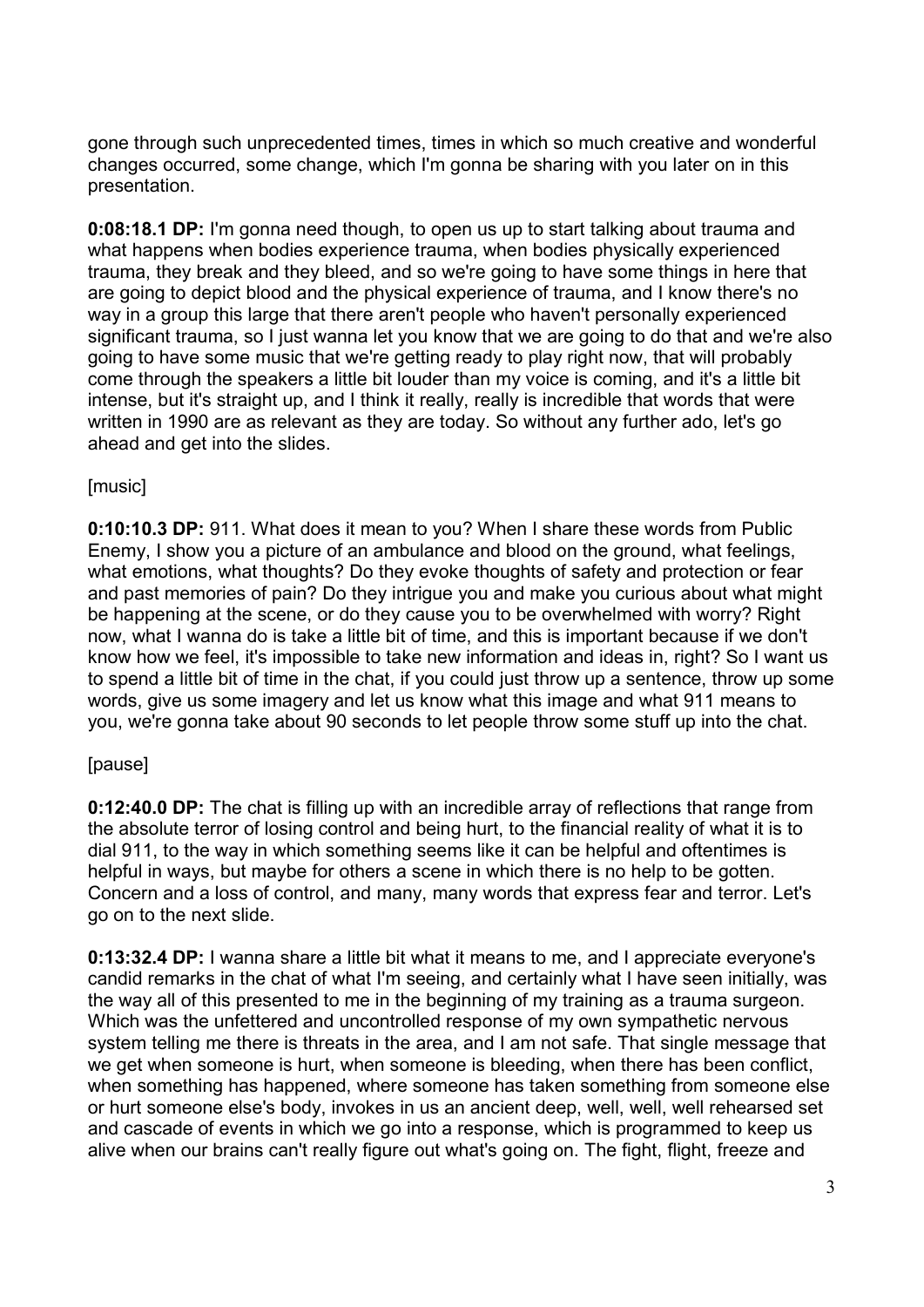gone through such unprecedented times, times in which so much creative and wonderful changes occurred, some change, which I'm gonna be sharing with you later on in this presentation.

**0:08:18.1 DP:** I'm gonna need though, to open us up to start talking about trauma and what happens when bodies experience trauma, when bodies physically experienced trauma, they break and they bleed, and so we're going to have some things in here that are going to depict blood and the physical experience of trauma, and I know there's no way in a group this large that there aren't people who haven't personally experienced significant trauma, so I just wanna let you know that we are going to do that and we're also going to have some music that we're getting ready to play right now, that will probably come through the speakers a little bit louder than my voice is coming, and it's a little bit intense, but it's straight up, and I think it really, really is incredible that words that were written in 1990 are as relevant as they are today. So without any further ado, let's go ahead and get into the slides.

## [music]

**0:10:10.3 DP:** 911. What does it mean to you? When I share these words from Public Enemy, I show you a picture of an ambulance and blood on the ground, what feelings, what emotions, what thoughts? Do they evoke thoughts of safety and protection or fear and past memories of pain? Do they intrigue you and make you curious about what might be happening at the scene, or do they cause you to be overwhelmed with worry? Right now, what I wanna do is take a little bit of time, and this is important because if we don't know how we feel, it's impossible to take new information and ideas in, right? So I want us to spend a little bit of time in the chat, if you could just throw up a sentence, throw up some words, give us some imagery and let us know what this image and what 911 means to you, we're gonna take about 90 seconds to let people throw some stuff up into the chat.

## [pause]

**0:12:40.0 DP:** The chat is filling up with an incredible array of reflections that range from the absolute terror of losing control and being hurt, to the financial reality of what it is to dial 911, to the way in which something seems like it can be helpful and oftentimes is helpful in ways, but maybe for others a scene in which there is no help to be gotten. Concern and a loss of control, and many, many words that express fear and terror. Let's go on to the next slide.

**0:13:32.4 DP:** I wanna share a little bit what it means to me, and I appreciate everyone's candid remarks in the chat of what I'm seeing, and certainly what I have seen initially, was the way all of this presented to me in the beginning of my training as a trauma surgeon. Which was the unfettered and uncontrolled response of my own sympathetic nervous system telling me there is threats in the area, and I am not safe. That single message that we get when someone is hurt, when someone is bleeding, when there has been conflict, when something has happened, where someone has taken something from someone else or hurt someone else's body, invokes in us an ancient deep, well, well, well rehearsed set and cascade of events in which we go into a response, which is programmed to keep us alive when our brains can't really figure out what's going on. The fight, flight, freeze and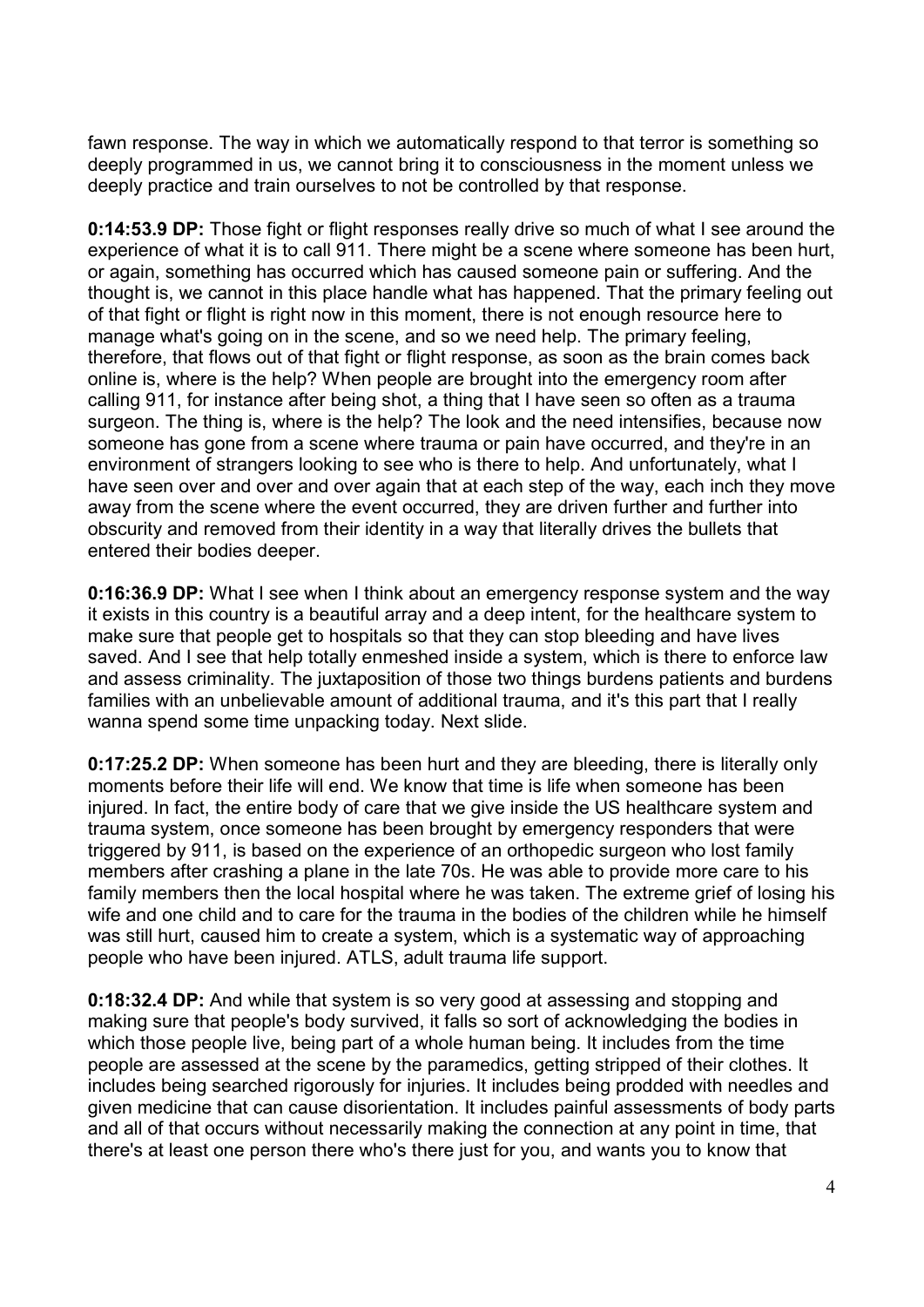fawn response. The way in which we automatically respond to that terror is something so deeply programmed in us, we cannot bring it to consciousness in the moment unless we deeply practice and train ourselves to not be controlled by that response.

**0:14:53.9 DP:** Those fight or flight responses really drive so much of what I see around the experience of what it is to call 911. There might be a scene where someone has been hurt, or again, something has occurred which has caused someone pain or suffering. And the thought is, we cannot in this place handle what has happened. That the primary feeling out of that fight or flight is right now in this moment, there is not enough resource here to manage what's going on in the scene, and so we need help. The primary feeling, therefore, that flows out of that fight or flight response, as soon as the brain comes back online is, where is the help? When people are brought into the emergency room after calling 911, for instance after being shot, a thing that I have seen so often as a trauma surgeon. The thing is, where is the help? The look and the need intensifies, because now someone has gone from a scene where trauma or pain have occurred, and they're in an environment of strangers looking to see who is there to help. And unfortunately, what I have seen over and over and over again that at each step of the way, each inch they move away from the scene where the event occurred, they are driven further and further into obscurity and removed from their identity in a way that literally drives the bullets that entered their bodies deeper.

**0:16:36.9 DP:** What I see when I think about an emergency response system and the way it exists in this country is a beautiful array and a deep intent, for the healthcare system to make sure that people get to hospitals so that they can stop bleeding and have lives saved. And I see that help totally enmeshed inside a system, which is there to enforce law and assess criminality. The juxtaposition of those two things burdens patients and burdens families with an unbelievable amount of additional trauma, and it's this part that I really wanna spend some time unpacking today. Next slide.

**0:17:25.2 DP:** When someone has been hurt and they are bleeding, there is literally only moments before their life will end. We know that time is life when someone has been injured. In fact, the entire body of care that we give inside the US healthcare system and trauma system, once someone has been brought by emergency responders that were triggered by 911, is based on the experience of an orthopedic surgeon who lost family members after crashing a plane in the late 70s. He was able to provide more care to his family members then the local hospital where he was taken. The extreme grief of losing his wife and one child and to care for the trauma in the bodies of the children while he himself was still hurt, caused him to create a system, which is a systematic way of approaching people who have been injured. ATLS, adult trauma life support.

**0:18:32.4 DP:** And while that system is so very good at assessing and stopping and making sure that people's body survived, it falls so sort of acknowledging the bodies in which those people live, being part of a whole human being. It includes from the time people are assessed at the scene by the paramedics, getting stripped of their clothes. It includes being searched rigorously for injuries. It includes being prodded with needles and given medicine that can cause disorientation. It includes painful assessments of body parts and all of that occurs without necessarily making the connection at any point in time, that there's at least one person there who's there just for you, and wants you to know that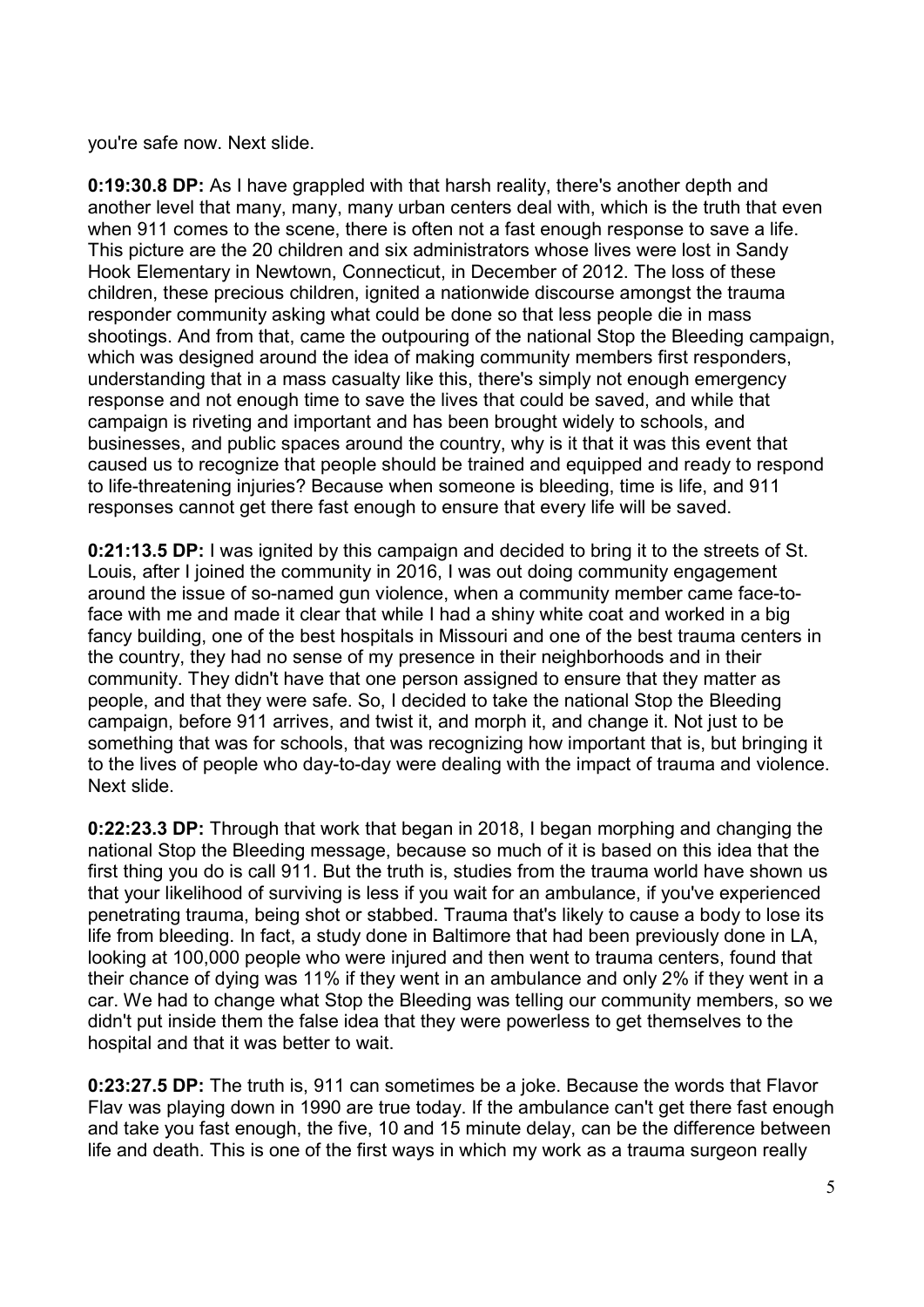you're safe now. Next slide.

**0:19:30.8 DP:** As I have grappled with that harsh reality, there's another depth and another level that many, many, many urban centers deal with, which is the truth that even when 911 comes to the scene, there is often not a fast enough response to save a life. This picture are the 20 children and six administrators whose lives were lost in Sandy Hook Elementary in Newtown, Connecticut, in December of 2012. The loss of these children, these precious children, ignited a nationwide discourse amongst the trauma responder community asking what could be done so that less people die in mass shootings. And from that, came the outpouring of the national Stop the Bleeding campaign, which was designed around the idea of making community members first responders, understanding that in a mass casualty like this, there's simply not enough emergency response and not enough time to save the lives that could be saved, and while that campaign is riveting and important and has been brought widely to schools, and businesses, and public spaces around the country, why is it that it was this event that caused us to recognize that people should be trained and equipped and ready to respond to life-threatening injuries? Because when someone is bleeding, time is life, and 911 responses cannot get there fast enough to ensure that every life will be saved.

**0:21:13.5 DP:** I was ignited by this campaign and decided to bring it to the streets of St. Louis, after I joined the community in 2016, I was out doing community engagement around the issue of so-named gun violence, when a community member came face-toface with me and made it clear that while I had a shiny white coat and worked in a big fancy building, one of the best hospitals in Missouri and one of the best trauma centers in the country, they had no sense of my presence in their neighborhoods and in their community. They didn't have that one person assigned to ensure that they matter as people, and that they were safe. So, I decided to take the national Stop the Bleeding campaign, before 911 arrives, and twist it, and morph it, and change it. Not just to be something that was for schools, that was recognizing how important that is, but bringing it to the lives of people who day-to-day were dealing with the impact of trauma and violence. Next slide.

**0:22:23.3 DP:** Through that work that began in 2018, I began morphing and changing the national Stop the Bleeding message, because so much of it is based on this idea that the first thing you do is call 911. But the truth is, studies from the trauma world have shown us that your likelihood of surviving is less if you wait for an ambulance, if you've experienced penetrating trauma, being shot or stabbed. Trauma that's likely to cause a body to lose its life from bleeding. In fact, a study done in Baltimore that had been previously done in LA, looking at 100,000 people who were injured and then went to trauma centers, found that their chance of dying was 11% if they went in an ambulance and only 2% if they went in a car. We had to change what Stop the Bleeding was telling our community members, so we didn't put inside them the false idea that they were powerless to get themselves to the hospital and that it was better to wait.

**0:23:27.5 DP:** The truth is, 911 can sometimes be a joke. Because the words that Flavor Flav was playing down in 1990 are true today. If the ambulance can't get there fast enough and take you fast enough, the five, 10 and 15 minute delay, can be the difference between life and death. This is one of the first ways in which my work as a trauma surgeon really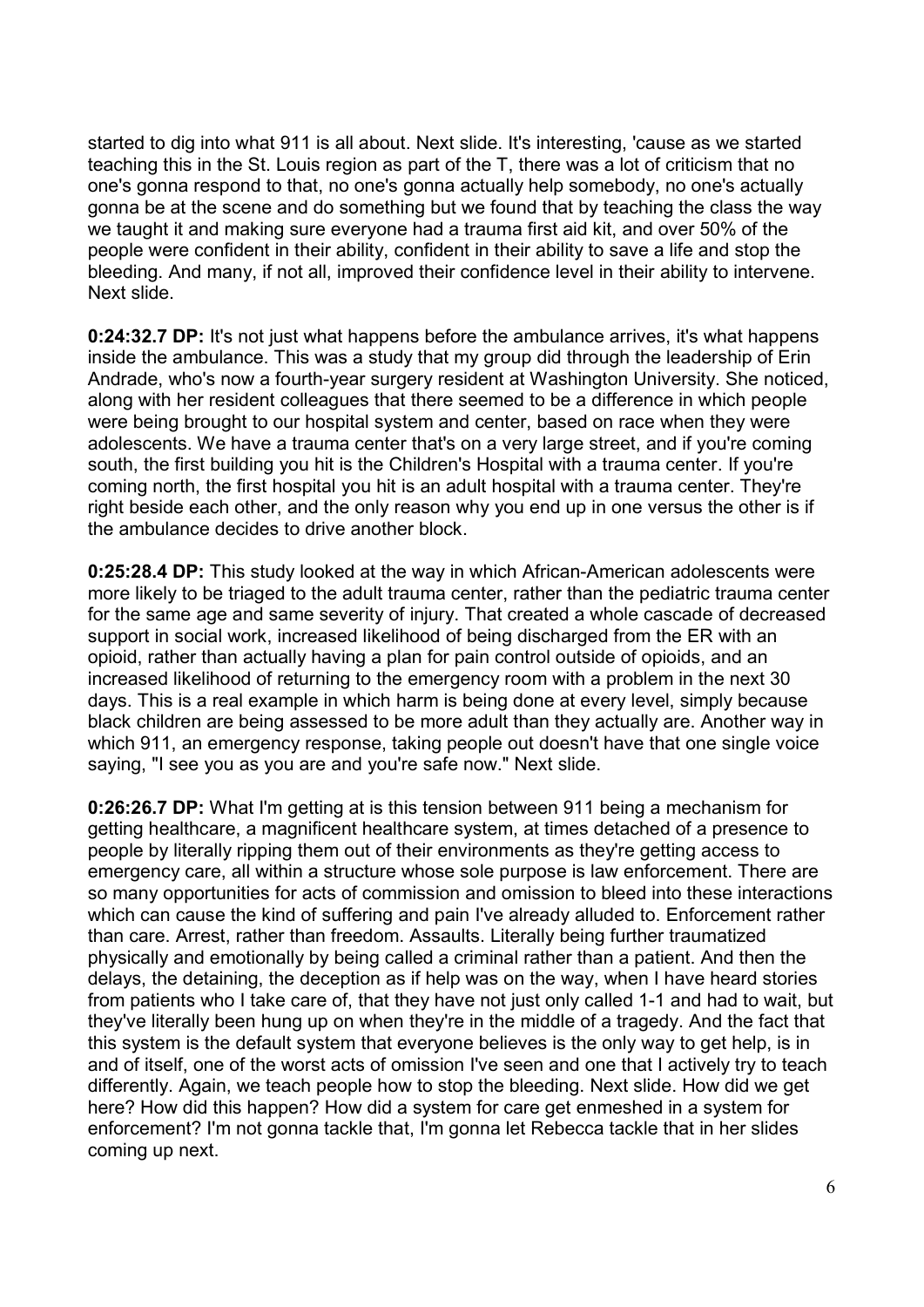started to dig into what 911 is all about. Next slide. It's interesting, 'cause as we started teaching this in the St. Louis region as part of the T, there was a lot of criticism that no one's gonna respond to that, no one's gonna actually help somebody, no one's actually gonna be at the scene and do something but we found that by teaching the class the way we taught it and making sure everyone had a trauma first aid kit, and over 50% of the people were confident in their ability, confident in their ability to save a life and stop the bleeding. And many, if not all, improved their confidence level in their ability to intervene. Next slide.

**0:24:32.7 DP:** It's not just what happens before the ambulance arrives, it's what happens inside the ambulance. This was a study that my group did through the leadership of Erin Andrade, who's now a fourth-year surgery resident at Washington University. She noticed, along with her resident colleagues that there seemed to be a difference in which people were being brought to our hospital system and center, based on race when they were adolescents. We have a trauma center that's on a very large street, and if you're coming south, the first building you hit is the Children's Hospital with a trauma center. If you're coming north, the first hospital you hit is an adult hospital with a trauma center. They're right beside each other, and the only reason why you end up in one versus the other is if the ambulance decides to drive another block.

**0:25:28.4 DP:** This study looked at the way in which African-American adolescents were more likely to be triaged to the adult trauma center, rather than the pediatric trauma center for the same age and same severity of injury. That created a whole cascade of decreased support in social work, increased likelihood of being discharged from the ER with an opioid, rather than actually having a plan for pain control outside of opioids, and an increased likelihood of returning to the emergency room with a problem in the next 30 days. This is a real example in which harm is being done at every level, simply because black children are being assessed to be more adult than they actually are. Another way in which 911, an emergency response, taking people out doesn't have that one single voice saying, "I see you as you are and you're safe now." Next slide.

**0:26:26.7 DP:** What I'm getting at is this tension between 911 being a mechanism for getting healthcare, a magnificent healthcare system, at times detached of a presence to people by literally ripping them out of their environments as they're getting access to emergency care, all within a structure whose sole purpose is law enforcement. There are so many opportunities for acts of commission and omission to bleed into these interactions which can cause the kind of suffering and pain I've already alluded to. Enforcement rather than care. Arrest, rather than freedom. Assaults. Literally being further traumatized physically and emotionally by being called a criminal rather than a patient. And then the delays, the detaining, the deception as if help was on the way, when I have heard stories from patients who I take care of, that they have not just only called 1-1 and had to wait, but they've literally been hung up on when they're in the middle of a tragedy. And the fact that this system is the default system that everyone believes is the only way to get help, is in and of itself, one of the worst acts of omission I've seen and one that I actively try to teach differently. Again, we teach people how to stop the bleeding. Next slide. How did we get here? How did this happen? How did a system for care get enmeshed in a system for enforcement? I'm not gonna tackle that, I'm gonna let Rebecca tackle that in her slides coming up next.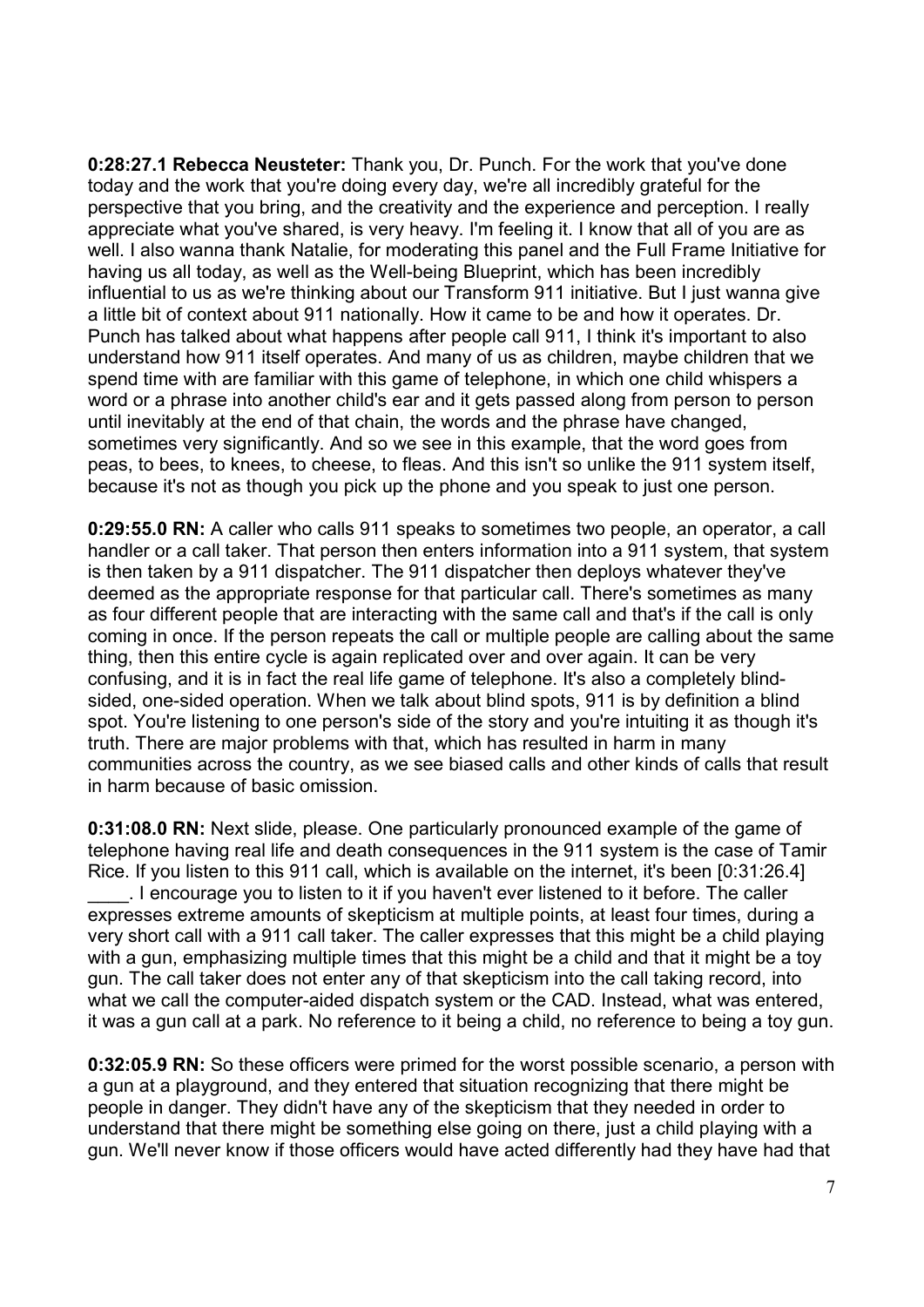**0:28:27.1 Rebecca Neusteter:** Thank you, Dr. Punch. For the work that you've done today and the work that you're doing every day, we're all incredibly grateful for the perspective that you bring, and the creativity and the experience and perception. I really appreciate what you've shared, is very heavy. I'm feeling it. I know that all of you are as well. I also wanna thank Natalie, for moderating this panel and the Full Frame Initiative for having us all today, as well as the Well-being Blueprint, which has been incredibly influential to us as we're thinking about our Transform 911 initiative. But I just wanna give a little bit of context about 911 nationally. How it came to be and how it operates. Dr. Punch has talked about what happens after people call 911, I think it's important to also understand how 911 itself operates. And many of us as children, maybe children that we spend time with are familiar with this game of telephone, in which one child whispers a word or a phrase into another child's ear and it gets passed along from person to person until inevitably at the end of that chain, the words and the phrase have changed, sometimes very significantly. And so we see in this example, that the word goes from peas, to bees, to knees, to cheese, to fleas. And this isn't so unlike the 911 system itself, because it's not as though you pick up the phone and you speak to just one person.

**0:29:55.0 RN:** A caller who calls 911 speaks to sometimes two people, an operator, a call handler or a call taker. That person then enters information into a 911 system, that system is then taken by a 911 dispatcher. The 911 dispatcher then deploys whatever they've deemed as the appropriate response for that particular call. There's sometimes as many as four different people that are interacting with the same call and that's if the call is only coming in once. If the person repeats the call or multiple people are calling about the same thing, then this entire cycle is again replicated over and over again. It can be very confusing, and it is in fact the real life game of telephone. It's also a completely blindsided, one-sided operation. When we talk about blind spots, 911 is by definition a blind spot. You're listening to one person's side of the story and you're intuiting it as though it's truth. There are major problems with that, which has resulted in harm in many communities across the country, as we see biased calls and other kinds of calls that result in harm because of basic omission.

**0:31:08.0 RN:** Next slide, please. One particularly pronounced example of the game of telephone having real life and death consequences in the 911 system is the case of Tamir Rice. If you listen to this 911 call, which is available on the internet, it's been [0:31:26.4] . I encourage you to listen to it if you haven't ever listened to it before. The caller expresses extreme amounts of skepticism at multiple points, at least four times, during a very short call with a 911 call taker. The caller expresses that this might be a child playing with a gun, emphasizing multiple times that this might be a child and that it might be a toy gun. The call taker does not enter any of that skepticism into the call taking record, into what we call the computer-aided dispatch system or the CAD. Instead, what was entered,

**0:32:05.9 RN:** So these officers were primed for the worst possible scenario, a person with a gun at a playground, and they entered that situation recognizing that there might be people in danger. They didn't have any of the skepticism that they needed in order to understand that there might be something else going on there, just a child playing with a gun. We'll never know if those officers would have acted differently had they have had that

it was a gun call at a park. No reference to it being a child, no reference to being a toy gun.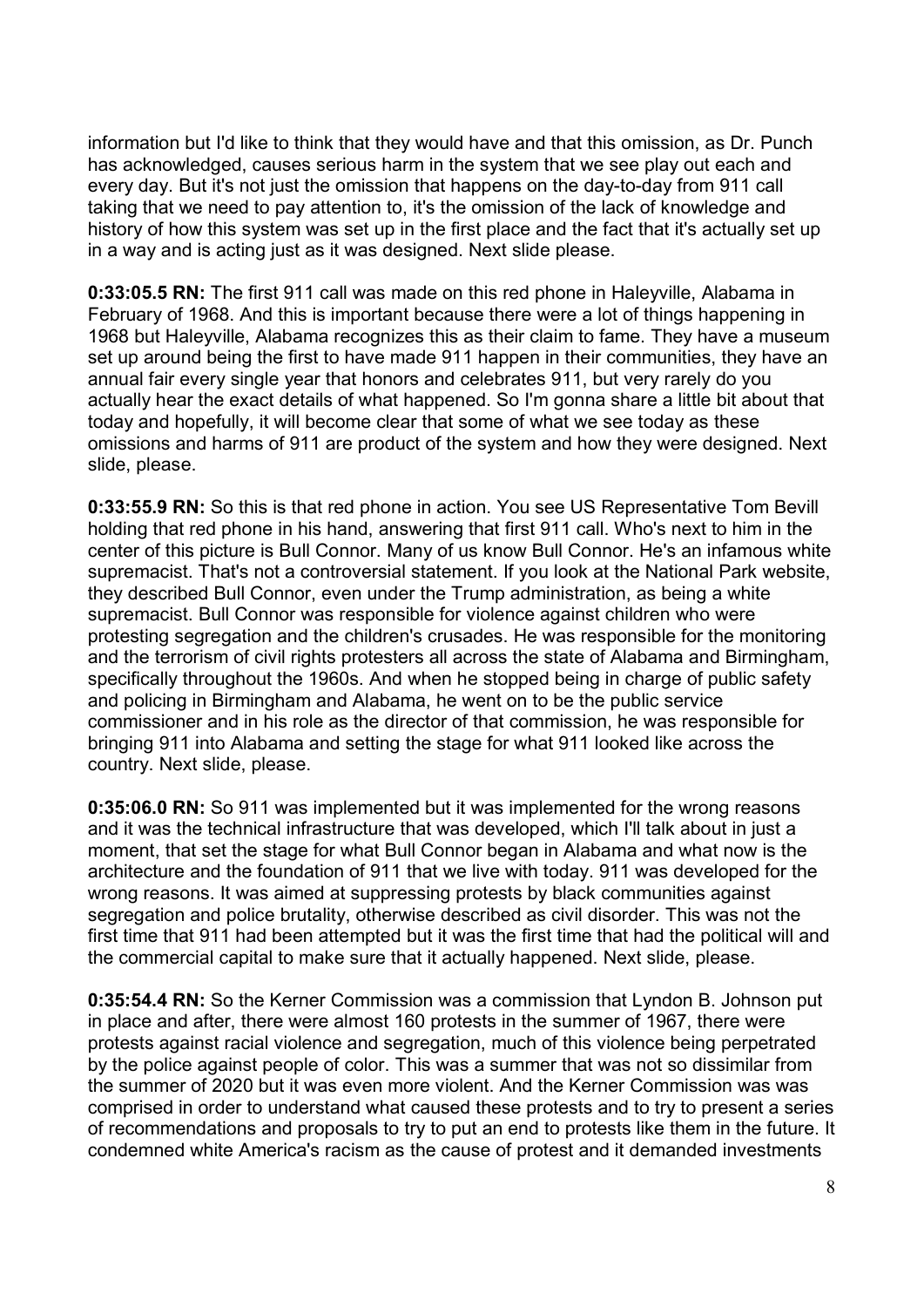information but I'd like to think that they would have and that this omission, as Dr. Punch has acknowledged, causes serious harm in the system that we see play out each and every day. But it's not just the omission that happens on the day-to-day from 911 call taking that we need to pay attention to, it's the omission of the lack of knowledge and history of how this system was set up in the first place and the fact that it's actually set up in a way and is acting just as it was designed. Next slide please.

**0:33:05.5 RN:** The first 911 call was made on this red phone in Haleyville, Alabama in February of 1968. And this is important because there were a lot of things happening in 1968 but Haleyville, Alabama recognizes this as their claim to fame. They have a museum set up around being the first to have made 911 happen in their communities, they have an annual fair every single year that honors and celebrates 911, but very rarely do you actually hear the exact details of what happened. So I'm gonna share a little bit about that today and hopefully, it will become clear that some of what we see today as these omissions and harms of 911 are product of the system and how they were designed. Next slide, please.

**0:33:55.9 RN:** So this is that red phone in action. You see US Representative Tom Bevill holding that red phone in his hand, answering that first 911 call. Who's next to him in the center of this picture is Bull Connor. Many of us know Bull Connor. He's an infamous white supremacist. That's not a controversial statement. If you look at the National Park website, they described Bull Connor, even under the Trump administration, as being a white supremacist. Bull Connor was responsible for violence against children who were protesting segregation and the children's crusades. He was responsible for the monitoring and the terrorism of civil rights protesters all across the state of Alabama and Birmingham, specifically throughout the 1960s. And when he stopped being in charge of public safety and policing in Birmingham and Alabama, he went on to be the public service commissioner and in his role as the director of that commission, he was responsible for bringing 911 into Alabama and setting the stage for what 911 looked like across the country. Next slide, please.

**0:35:06.0 RN:** So 911 was implemented but it was implemented for the wrong reasons and it was the technical infrastructure that was developed, which I'll talk about in just a moment, that set the stage for what Bull Connor began in Alabama and what now is the architecture and the foundation of 911 that we live with today. 911 was developed for the wrong reasons. It was aimed at suppressing protests by black communities against segregation and police brutality, otherwise described as civil disorder. This was not the first time that 911 had been attempted but it was the first time that had the political will and the commercial capital to make sure that it actually happened. Next slide, please.

**0:35:54.4 RN:** So the Kerner Commission was a commission that Lyndon B. Johnson put in place and after, there were almost 160 protests in the summer of 1967, there were protests against racial violence and segregation, much of this violence being perpetrated by the police against people of color. This was a summer that was not so dissimilar from the summer of 2020 but it was even more violent. And the Kerner Commission was was comprised in order to understand what caused these protests and to try to present a series of recommendations and proposals to try to put an end to protests like them in the future. It condemned white America's racism as the cause of protest and it demanded investments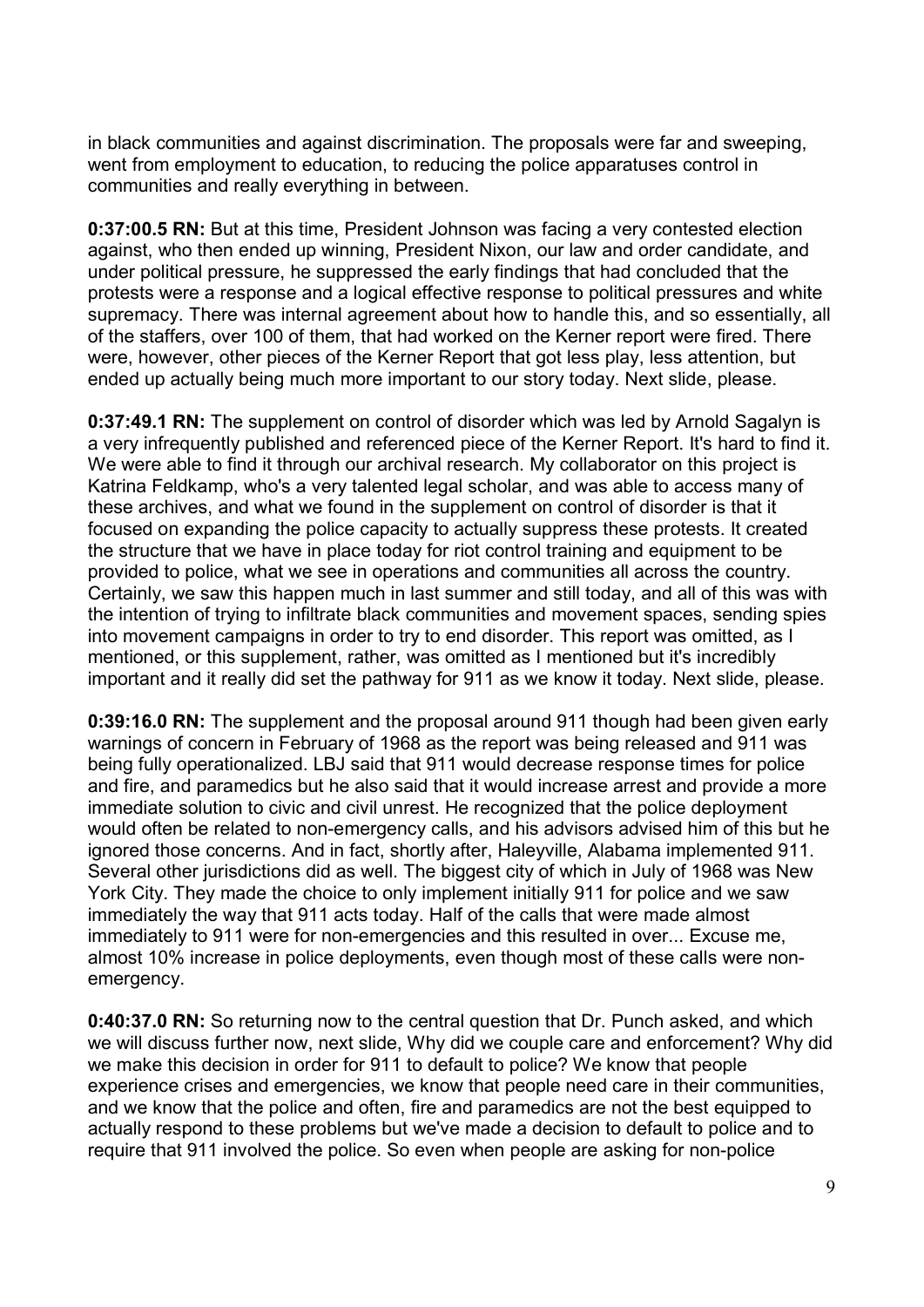in black communities and against discrimination. The proposals were far and sweeping, went from employment to education, to reducing the police apparatuses control in communities and really everything in between.

**0:37:00.5 RN:** But at this time, President Johnson was facing a very contested election against, who then ended up winning, President Nixon, our law and order candidate, and under political pressure, he suppressed the early findings that had concluded that the protests were a response and a logical effective response to political pressures and white supremacy. There was internal agreement about how to handle this, and so essentially, all of the staffers, over 100 of them, that had worked on the Kerner report were fired. There were, however, other pieces of the Kerner Report that got less play, less attention, but ended up actually being much more important to our story today. Next slide, please.

**0:37:49.1 RN:** The supplement on control of disorder which was led by Arnold Sagalyn is a very infrequently published and referenced piece of the Kerner Report. It's hard to find it. We were able to find it through our archival research. My collaborator on this project is Katrina Feldkamp, who's a very talented legal scholar, and was able to access many of these archives, and what we found in the supplement on control of disorder is that it focused on expanding the police capacity to actually suppress these protests. It created the structure that we have in place today for riot control training and equipment to be provided to police, what we see in operations and communities all across the country. Certainly, we saw this happen much in last summer and still today, and all of this was with the intention of trying to infiltrate black communities and movement spaces, sending spies into movement campaigns in order to try to end disorder. This report was omitted, as I mentioned, or this supplement, rather, was omitted as I mentioned but it's incredibly important and it really did set the pathway for 911 as we know it today. Next slide, please.

**0:39:16.0 RN:** The supplement and the proposal around 911 though had been given early warnings of concern in February of 1968 as the report was being released and 911 was being fully operationalized. LBJ said that 911 would decrease response times for police and fire, and paramedics but he also said that it would increase arrest and provide a more immediate solution to civic and civil unrest. He recognized that the police deployment would often be related to non-emergency calls, and his advisors advised him of this but he ignored those concerns. And in fact, shortly after, Haleyville, Alabama implemented 911. Several other jurisdictions did as well. The biggest city of which in July of 1968 was New York City. They made the choice to only implement initially 911 for police and we saw immediately the way that 911 acts today. Half of the calls that were made almost immediately to 911 were for non-emergencies and this resulted in over... Excuse me, almost 10% increase in police deployments, even though most of these calls were nonemergency.

**0:40:37.0 RN:** So returning now to the central question that Dr. Punch asked, and which we will discuss further now, next slide, Why did we couple care and enforcement? Why did we make this decision in order for 911 to default to police? We know that people experience crises and emergencies, we know that people need care in their communities, and we know that the police and often, fire and paramedics are not the best equipped to actually respond to these problems but we've made a decision to default to police and to require that 911 involved the police. So even when people are asking for non-police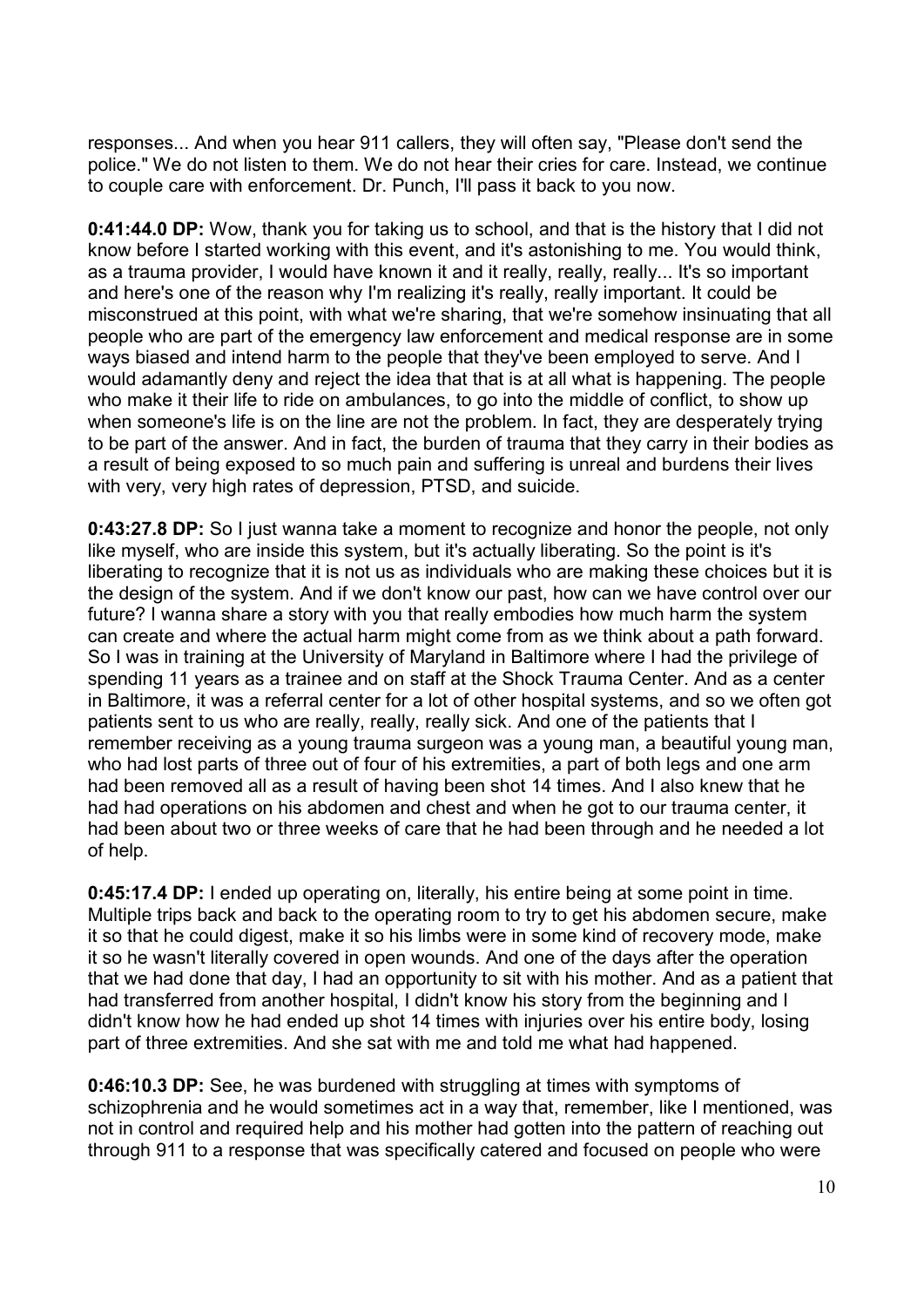responses... And when you hear 911 callers, they will often say, "Please don't send the police." We do not listen to them. We do not hear their cries for care. Instead, we continue to couple care with enforcement. Dr. Punch, I'll pass it back to you now.

**0:41:44.0 DP:** Wow, thank you for taking us to school, and that is the history that I did not know before I started working with this event, and it's astonishing to me. You would think, as a trauma provider, I would have known it and it really, really, really... It's so important and here's one of the reason why I'm realizing it's really, really important. It could be misconstrued at this point, with what we're sharing, that we're somehow insinuating that all people who are part of the emergency law enforcement and medical response are in some ways biased and intend harm to the people that they've been employed to serve. And I would adamantly deny and reject the idea that that is at all what is happening. The people who make it their life to ride on ambulances, to go into the middle of conflict, to show up when someone's life is on the line are not the problem. In fact, they are desperately trying to be part of the answer. And in fact, the burden of trauma that they carry in their bodies as a result of being exposed to so much pain and suffering is unreal and burdens their lives with very, very high rates of depression, PTSD, and suicide.

**0:43:27.8 DP:** So I just wanna take a moment to recognize and honor the people, not only like myself, who are inside this system, but it's actually liberating. So the point is it's liberating to recognize that it is not us as individuals who are making these choices but it is the design of the system. And if we don't know our past, how can we have control over our future? I wanna share a story with you that really embodies how much harm the system can create and where the actual harm might come from as we think about a path forward. So I was in training at the University of Maryland in Baltimore where I had the privilege of spending 11 years as a trainee and on staff at the Shock Trauma Center. And as a center in Baltimore, it was a referral center for a lot of other hospital systems, and so we often got patients sent to us who are really, really, really sick. And one of the patients that I remember receiving as a young trauma surgeon was a young man, a beautiful young man, who had lost parts of three out of four of his extremities, a part of both legs and one arm had been removed all as a result of having been shot 14 times. And I also knew that he had had operations on his abdomen and chest and when he got to our trauma center, it had been about two or three weeks of care that he had been through and he needed a lot of help.

**0:45:17.4 DP:** I ended up operating on, literally, his entire being at some point in time. Multiple trips back and back to the operating room to try to get his abdomen secure, make it so that he could digest, make it so his limbs were in some kind of recovery mode, make it so he wasn't literally covered in open wounds. And one of the days after the operation that we had done that day, I had an opportunity to sit with his mother. And as a patient that had transferred from another hospital, I didn't know his story from the beginning and I didn't know how he had ended up shot 14 times with injuries over his entire body, losing part of three extremities. And she sat with me and told me what had happened.

**0:46:10.3 DP:** See, he was burdened with struggling at times with symptoms of schizophrenia and he would sometimes act in a way that, remember, like I mentioned, was not in control and required help and his mother had gotten into the pattern of reaching out through 911 to a response that was specifically catered and focused on people who were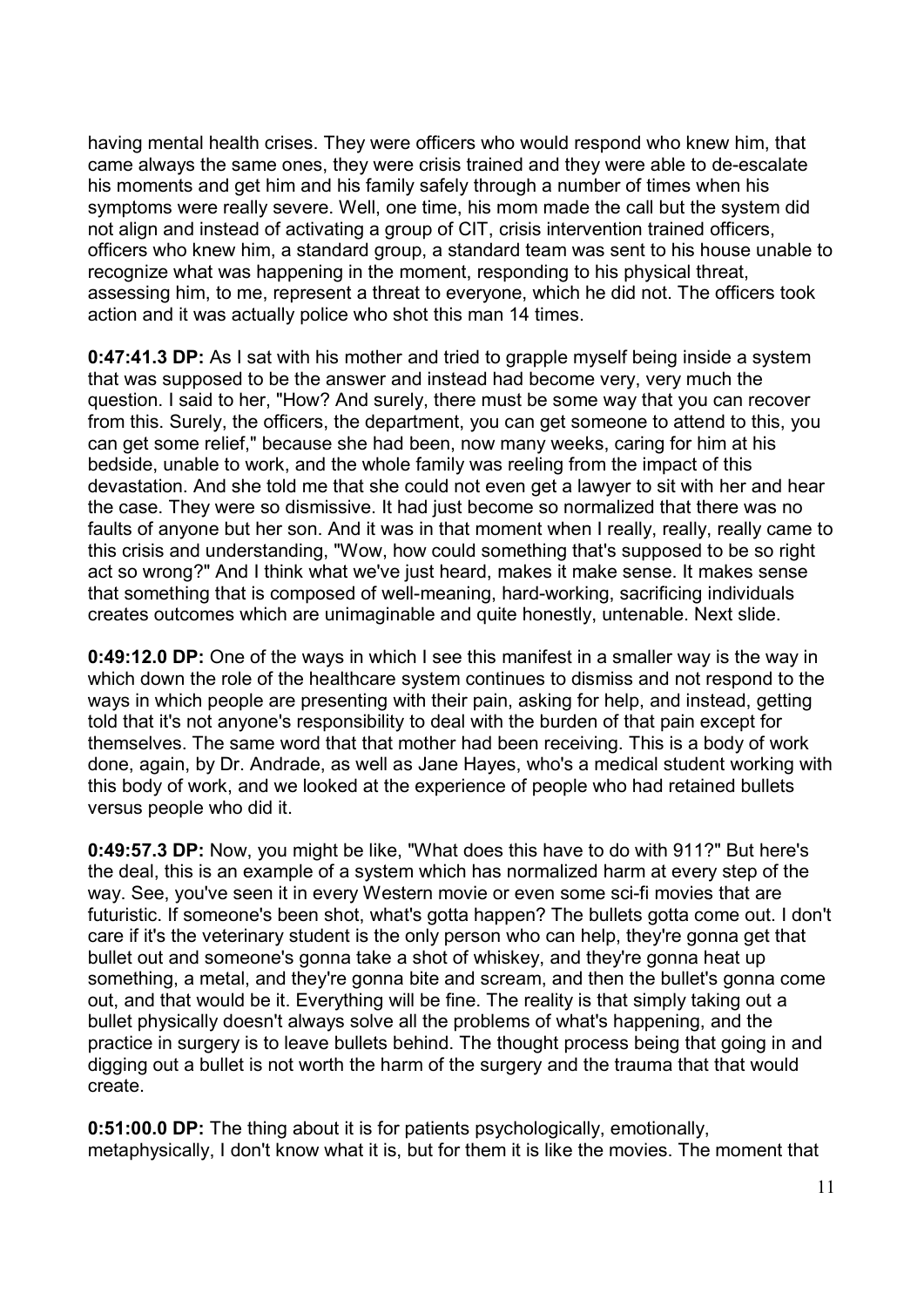having mental health crises. They were officers who would respond who knew him, that came always the same ones, they were crisis trained and they were able to de-escalate his moments and get him and his family safely through a number of times when his symptoms were really severe. Well, one time, his mom made the call but the system did not align and instead of activating a group of CIT, crisis intervention trained officers, officers who knew him, a standard group, a standard team was sent to his house unable to recognize what was happening in the moment, responding to his physical threat, assessing him, to me, represent a threat to everyone, which he did not. The officers took action and it was actually police who shot this man 14 times.

**0:47:41.3 DP:** As I sat with his mother and tried to grapple myself being inside a system that was supposed to be the answer and instead had become very, very much the question. I said to her, "How? And surely, there must be some way that you can recover from this. Surely, the officers, the department, you can get someone to attend to this, you can get some relief," because she had been, now many weeks, caring for him at his bedside, unable to work, and the whole family was reeling from the impact of this devastation. And she told me that she could not even get a lawyer to sit with her and hear the case. They were so dismissive. It had just become so normalized that there was no faults of anyone but her son. And it was in that moment when I really, really, really came to this crisis and understanding, "Wow, how could something that's supposed to be so right act so wrong?" And I think what we've just heard, makes it make sense. It makes sense that something that is composed of well-meaning, hard-working, sacrificing individuals creates outcomes which are unimaginable and quite honestly, untenable. Next slide.

**0:49:12.0 DP:** One of the ways in which I see this manifest in a smaller way is the way in which down the role of the healthcare system continues to dismiss and not respond to the ways in which people are presenting with their pain, asking for help, and instead, getting told that it's not anyone's responsibility to deal with the burden of that pain except for themselves. The same word that that mother had been receiving. This is a body of work done, again, by Dr. Andrade, as well as Jane Hayes, who's a medical student working with this body of work, and we looked at the experience of people who had retained bullets versus people who did it.

**0:49:57.3 DP:** Now, you might be like, "What does this have to do with 911?" But here's the deal, this is an example of a system which has normalized harm at every step of the way. See, you've seen it in every Western movie or even some sci-fi movies that are futuristic. If someone's been shot, what's gotta happen? The bullets gotta come out. I don't care if it's the veterinary student is the only person who can help, they're gonna get that bullet out and someone's gonna take a shot of whiskey, and they're gonna heat up something, a metal, and they're gonna bite and scream, and then the bullet's gonna come out, and that would be it. Everything will be fine. The reality is that simply taking out a bullet physically doesn't always solve all the problems of what's happening, and the practice in surgery is to leave bullets behind. The thought process being that going in and digging out a bullet is not worth the harm of the surgery and the trauma that that would create.

**0:51:00.0 DP:** The thing about it is for patients psychologically, emotionally, metaphysically, I don't know what it is, but for them it is like the movies. The moment that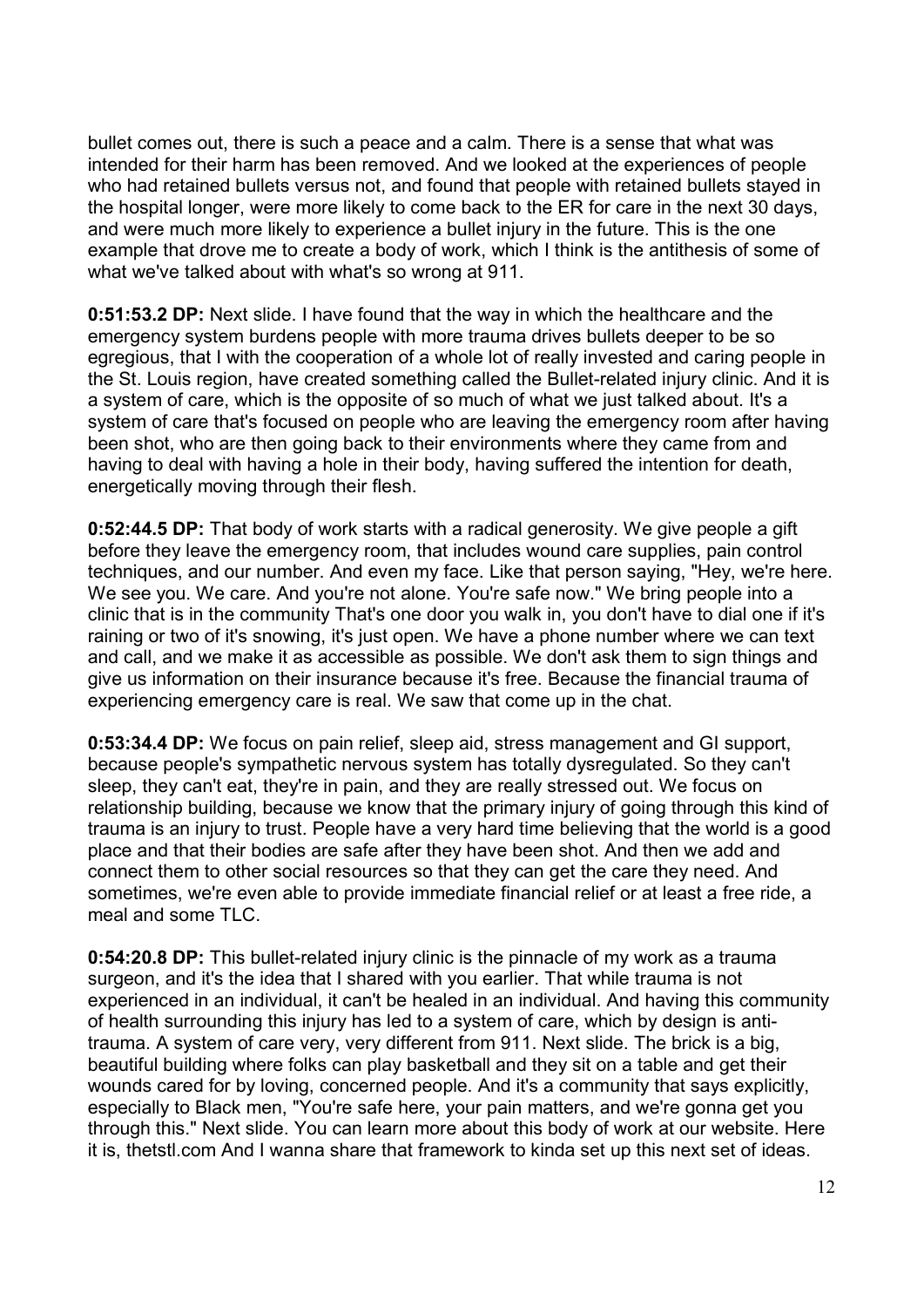bullet comes out, there is such a peace and a calm. There is a sense that what was intended for their harm has been removed. And we looked at the experiences of people who had retained bullets versus not, and found that people with retained bullets stayed in the hospital longer, were more likely to come back to the ER for care in the next 30 days, and were much more likely to experience a bullet injury in the future. This is the one example that drove me to create a body of work, which I think is the antithesis of some of what we've talked about with what's so wrong at 911.

**0:51:53.2 DP:** Next slide. I have found that the way in which the healthcare and the emergency system burdens people with more trauma drives bullets deeper to be so egregious, that I with the cooperation of a whole lot of really invested and caring people in the St. Louis region, have created something called the Bullet-related injury clinic. And it is a system of care, which is the opposite of so much of what we just talked about. It's a system of care that's focused on people who are leaving the emergency room after having been shot, who are then going back to their environments where they came from and having to deal with having a hole in their body, having suffered the intention for death, energetically moving through their flesh.

**0:52:44.5 DP:** That body of work starts with a radical generosity. We give people a gift before they leave the emergency room, that includes wound care supplies, pain control techniques, and our number. And even my face. Like that person saying, "Hey, we're here. We see you. We care. And you're not alone. You're safe now." We bring people into a clinic that is in the community That's one door you walk in, you don't have to dial one if it's raining or two of it's snowing, it's just open. We have a phone number where we can text and call, and we make it as accessible as possible. We don't ask them to sign things and give us information on their insurance because it's free. Because the financial trauma of experiencing emergency care is real. We saw that come up in the chat.

**0:53:34.4 DP:** We focus on pain relief, sleep aid, stress management and GI support, because people's sympathetic nervous system has totally dysregulated. So they can't sleep, they can't eat, they're in pain, and they are really stressed out. We focus on relationship building, because we know that the primary injury of going through this kind of trauma is an injury to trust. People have a very hard time believing that the world is a good place and that their bodies are safe after they have been shot. And then we add and connect them to other social resources so that they can get the care they need. And sometimes, we're even able to provide immediate financial relief or at least a free ride, a meal and some TLC.

**0:54:20.8 DP:** This bullet-related injury clinic is the pinnacle of my work as a trauma surgeon, and it's the idea that I shared with you earlier. That while trauma is not experienced in an individual, it can't be healed in an individual. And having this community of health surrounding this injury has led to a system of care, which by design is antitrauma. A system of care very, very different from 911. Next slide. The brick is a big, beautiful building where folks can play basketball and they sit on a table and get their wounds cared for by loving, concerned people. And it's a community that says explicitly, especially to Black men, "You're safe here, your pain matters, and we're gonna get you through this." Next slide. You can learn more about this body of work at our website. Here it is, thetstl.com And I wanna share that framework to kinda set up this next set of ideas.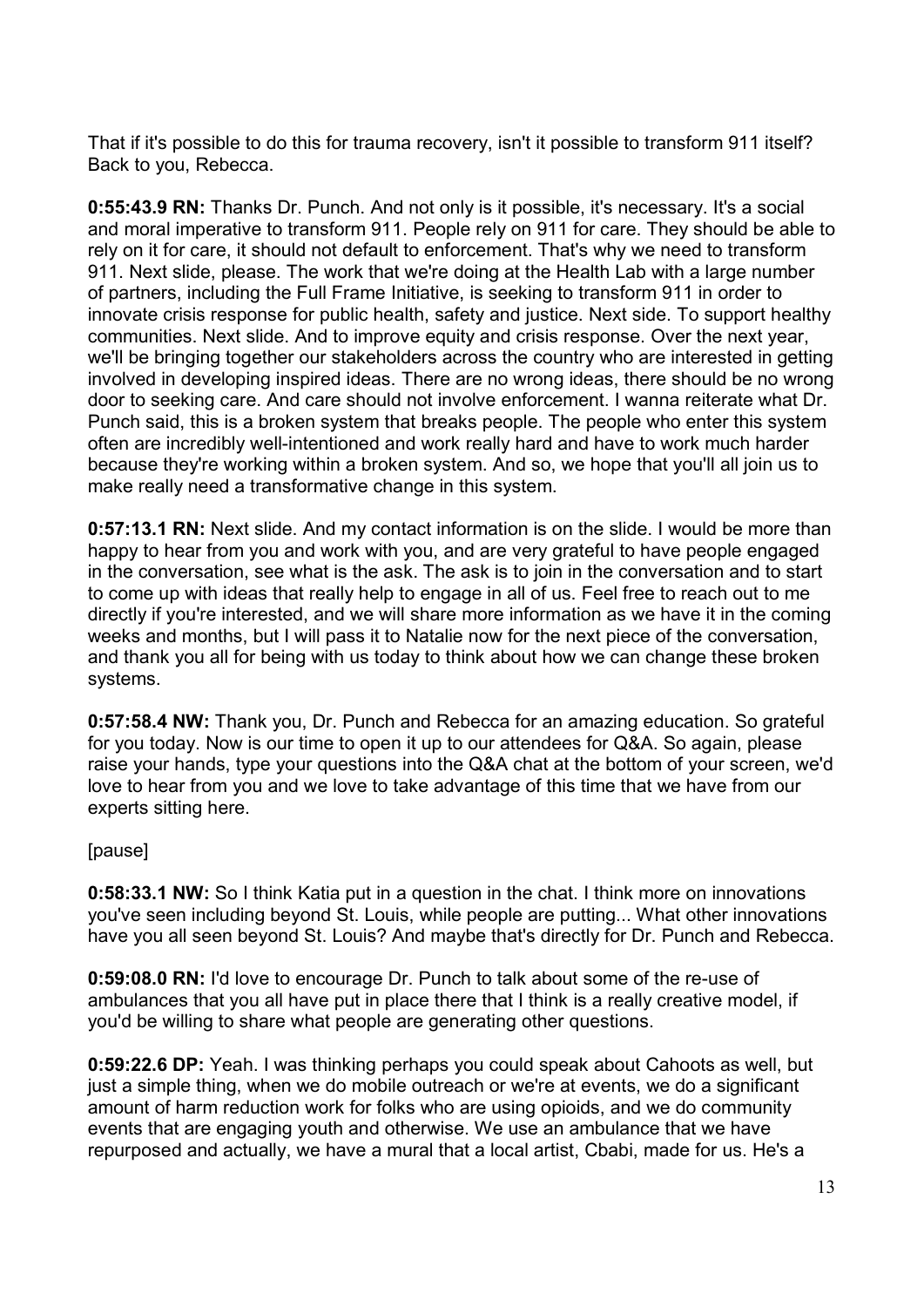That if it's possible to do this for trauma recovery, isn't it possible to transform 911 itself? Back to you, Rebecca.

**0:55:43.9 RN:** Thanks Dr. Punch. And not only is it possible, it's necessary. It's a social and moral imperative to transform 911. People rely on 911 for care. They should be able to rely on it for care, it should not default to enforcement. That's why we need to transform 911. Next slide, please. The work that we're doing at the Health Lab with a large number of partners, including the Full Frame Initiative, is seeking to transform 911 in order to innovate crisis response for public health, safety and justice. Next side. To support healthy communities. Next slide. And to improve equity and crisis response. Over the next year, we'll be bringing together our stakeholders across the country who are interested in getting involved in developing inspired ideas. There are no wrong ideas, there should be no wrong door to seeking care. And care should not involve enforcement. I wanna reiterate what Dr. Punch said, this is a broken system that breaks people. The people who enter this system often are incredibly well-intentioned and work really hard and have to work much harder because they're working within a broken system. And so, we hope that you'll all join us to make really need a transformative change in this system.

**0:57:13.1 RN:** Next slide. And my contact information is on the slide. I would be more than happy to hear from you and work with you, and are very grateful to have people engaged in the conversation, see what is the ask. The ask is to join in the conversation and to start to come up with ideas that really help to engage in all of us. Feel free to reach out to me directly if you're interested, and we will share more information as we have it in the coming weeks and months, but I will pass it to Natalie now for the next piece of the conversation, and thank you all for being with us today to think about how we can change these broken systems.

**0:57:58.4 NW:** Thank you, Dr. Punch and Rebecca for an amazing education. So grateful for you today. Now is our time to open it up to our attendees for Q&A. So again, please raise your hands, type your questions into the Q&A chat at the bottom of your screen, we'd love to hear from you and we love to take advantage of this time that we have from our experts sitting here.

## [pause]

**0:58:33.1 NW:** So I think Katia put in a question in the chat. I think more on innovations you've seen including beyond St. Louis, while people are putting... What other innovations have you all seen beyond St. Louis? And maybe that's directly for Dr. Punch and Rebecca.

**0:59:08.0 RN:** I'd love to encourage Dr. Punch to talk about some of the re-use of ambulances that you all have put in place there that I think is a really creative model, if you'd be willing to share what people are generating other questions.

**0:59:22.6 DP:** Yeah. I was thinking perhaps you could speak about Cahoots as well, but just a simple thing, when we do mobile outreach or we're at events, we do a significant amount of harm reduction work for folks who are using opioids, and we do community events that are engaging youth and otherwise. We use an ambulance that we have repurposed and actually, we have a mural that a local artist, Cbabi, made for us. He's a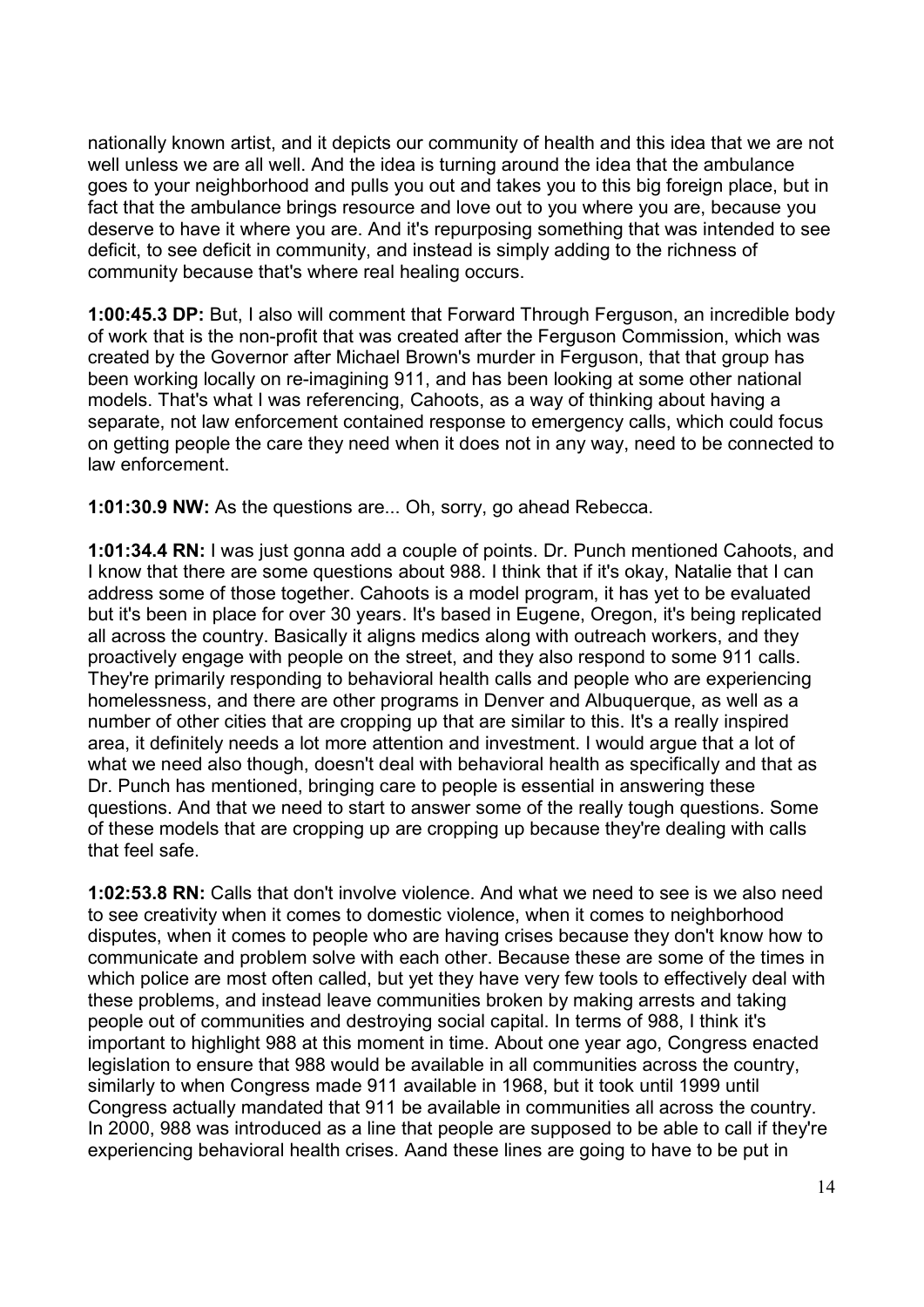nationally known artist, and it depicts our community of health and this idea that we are not well unless we are all well. And the idea is turning around the idea that the ambulance goes to your neighborhood and pulls you out and takes you to this big foreign place, but in fact that the ambulance brings resource and love out to you where you are, because you deserve to have it where you are. And it's repurposing something that was intended to see deficit, to see deficit in community, and instead is simply adding to the richness of community because that's where real healing occurs.

**1:00:45.3 DP:** But, I also will comment that Forward Through Ferguson, an incredible body of work that is the non-profit that was created after the Ferguson Commission, which was created by the Governor after Michael Brown's murder in Ferguson, that that group has been working locally on re-imagining 911, and has been looking at some other national models. That's what I was referencing, Cahoots, as a way of thinking about having a separate, not law enforcement contained response to emergency calls, which could focus on getting people the care they need when it does not in any way, need to be connected to law enforcement.

**1:01:30.9 NW:** As the questions are... Oh, sorry, go ahead Rebecca.

**1:01:34.4 RN:** I was just gonna add a couple of points. Dr. Punch mentioned Cahoots, and I know that there are some questions about 988. I think that if it's okay, Natalie that I can address some of those together. Cahoots is a model program, it has yet to be evaluated but it's been in place for over 30 years. It's based in Eugene, Oregon, it's being replicated all across the country. Basically it aligns medics along with outreach workers, and they proactively engage with people on the street, and they also respond to some 911 calls. They're primarily responding to behavioral health calls and people who are experiencing homelessness, and there are other programs in Denver and Albuquerque, as well as a number of other cities that are cropping up that are similar to this. It's a really inspired area, it definitely needs a lot more attention and investment. I would argue that a lot of what we need also though, doesn't deal with behavioral health as specifically and that as Dr. Punch has mentioned, bringing care to people is essential in answering these questions. And that we need to start to answer some of the really tough questions. Some of these models that are cropping up are cropping up because they're dealing with calls that feel safe.

**1:02:53.8 RN:** Calls that don't involve violence. And what we need to see is we also need to see creativity when it comes to domestic violence, when it comes to neighborhood disputes, when it comes to people who are having crises because they don't know how to communicate and problem solve with each other. Because these are some of the times in which police are most often called, but yet they have very few tools to effectively deal with these problems, and instead leave communities broken by making arrests and taking people out of communities and destroying social capital. In terms of 988, I think it's important to highlight 988 at this moment in time. About one year ago, Congress enacted legislation to ensure that 988 would be available in all communities across the country, similarly to when Congress made 911 available in 1968, but it took until 1999 until Congress actually mandated that 911 be available in communities all across the country. In 2000, 988 was introduced as a line that people are supposed to be able to call if they're experiencing behavioral health crises. Aand these lines are going to have to be put in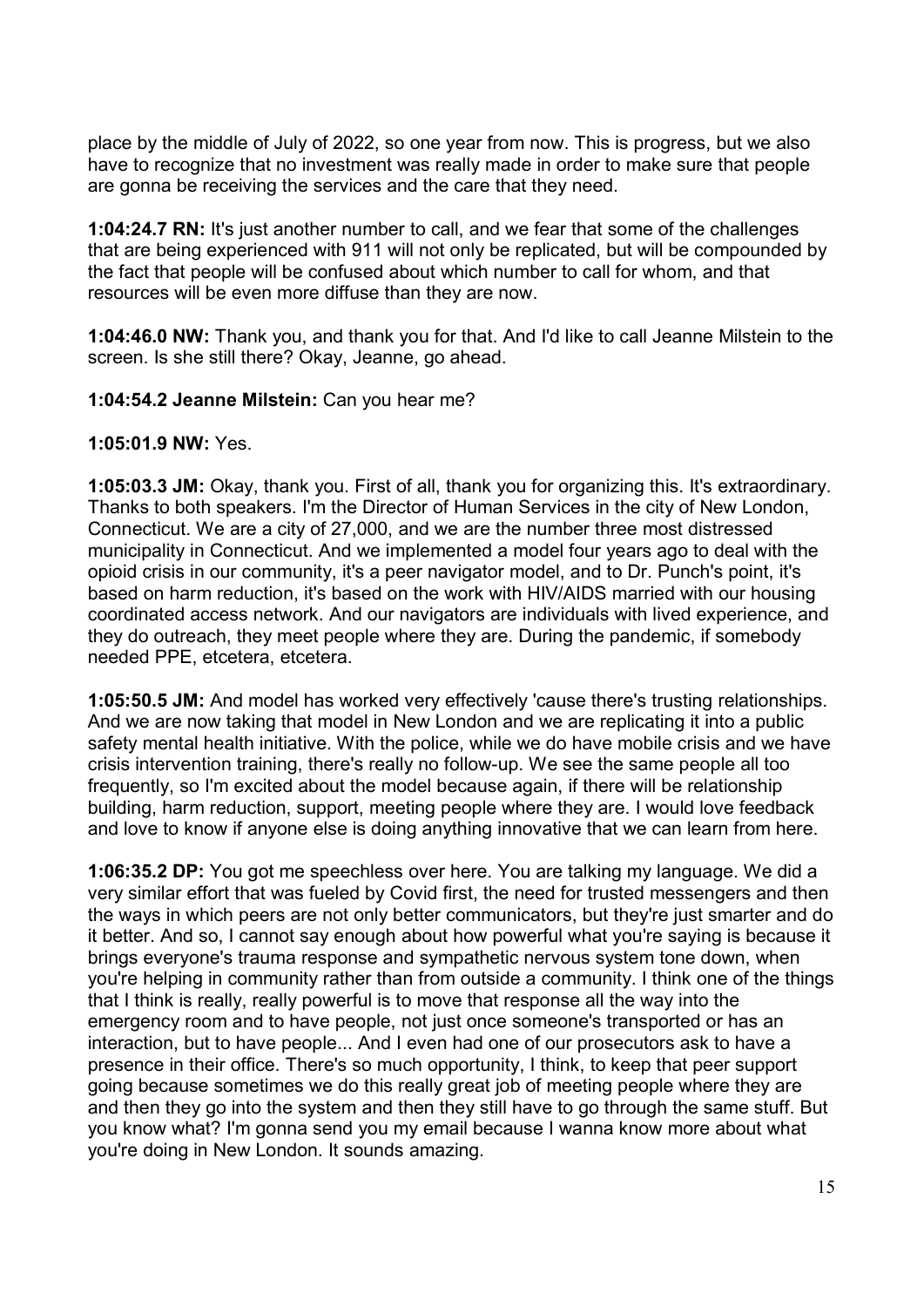place by the middle of July of 2022, so one year from now. This is progress, but we also have to recognize that no investment was really made in order to make sure that people are gonna be receiving the services and the care that they need.

**1:04:24.7 RN:** It's just another number to call, and we fear that some of the challenges that are being experienced with 911 will not only be replicated, but will be compounded by the fact that people will be confused about which number to call for whom, and that resources will be even more diffuse than they are now.

**1:04:46.0 NW:** Thank you, and thank you for that. And I'd like to call Jeanne Milstein to the screen. Is she still there? Okay, Jeanne, go ahead.

**1:04:54.2 Jeanne Milstein:** Can you hear me?

**1:05:01.9 NW:** Yes.

**1:05:03.3 JM:** Okay, thank you. First of all, thank you for organizing this. It's extraordinary. Thanks to both speakers. I'm the Director of Human Services in the city of New London, Connecticut. We are a city of 27,000, and we are the number three most distressed municipality in Connecticut. And we implemented a model four years ago to deal with the opioid crisis in our community, it's a peer navigator model, and to Dr. Punch's point, it's based on harm reduction, it's based on the work with HIV/AIDS married with our housing coordinated access network. And our navigators are individuals with lived experience, and they do outreach, they meet people where they are. During the pandemic, if somebody needed PPE, etcetera, etcetera.

**1:05:50.5 JM:** And model has worked very effectively 'cause there's trusting relationships. And we are now taking that model in New London and we are replicating it into a public safety mental health initiative. With the police, while we do have mobile crisis and we have crisis intervention training, there's really no follow-up. We see the same people all too frequently, so I'm excited about the model because again, if there will be relationship building, harm reduction, support, meeting people where they are. I would love feedback and love to know if anyone else is doing anything innovative that we can learn from here.

**1:06:35.2 DP:** You got me speechless over here. You are talking my language. We did a very similar effort that was fueled by Covid first, the need for trusted messengers and then the ways in which peers are not only better communicators, but they're just smarter and do it better. And so, I cannot say enough about how powerful what you're saying is because it brings everyone's trauma response and sympathetic nervous system tone down, when you're helping in community rather than from outside a community. I think one of the things that I think is really, really powerful is to move that response all the way into the emergency room and to have people, not just once someone's transported or has an interaction, but to have people... And I even had one of our prosecutors ask to have a presence in their office. There's so much opportunity, I think, to keep that peer support going because sometimes we do this really great job of meeting people where they are and then they go into the system and then they still have to go through the same stuff. But you know what? I'm gonna send you my email because I wanna know more about what you're doing in New London. It sounds amazing.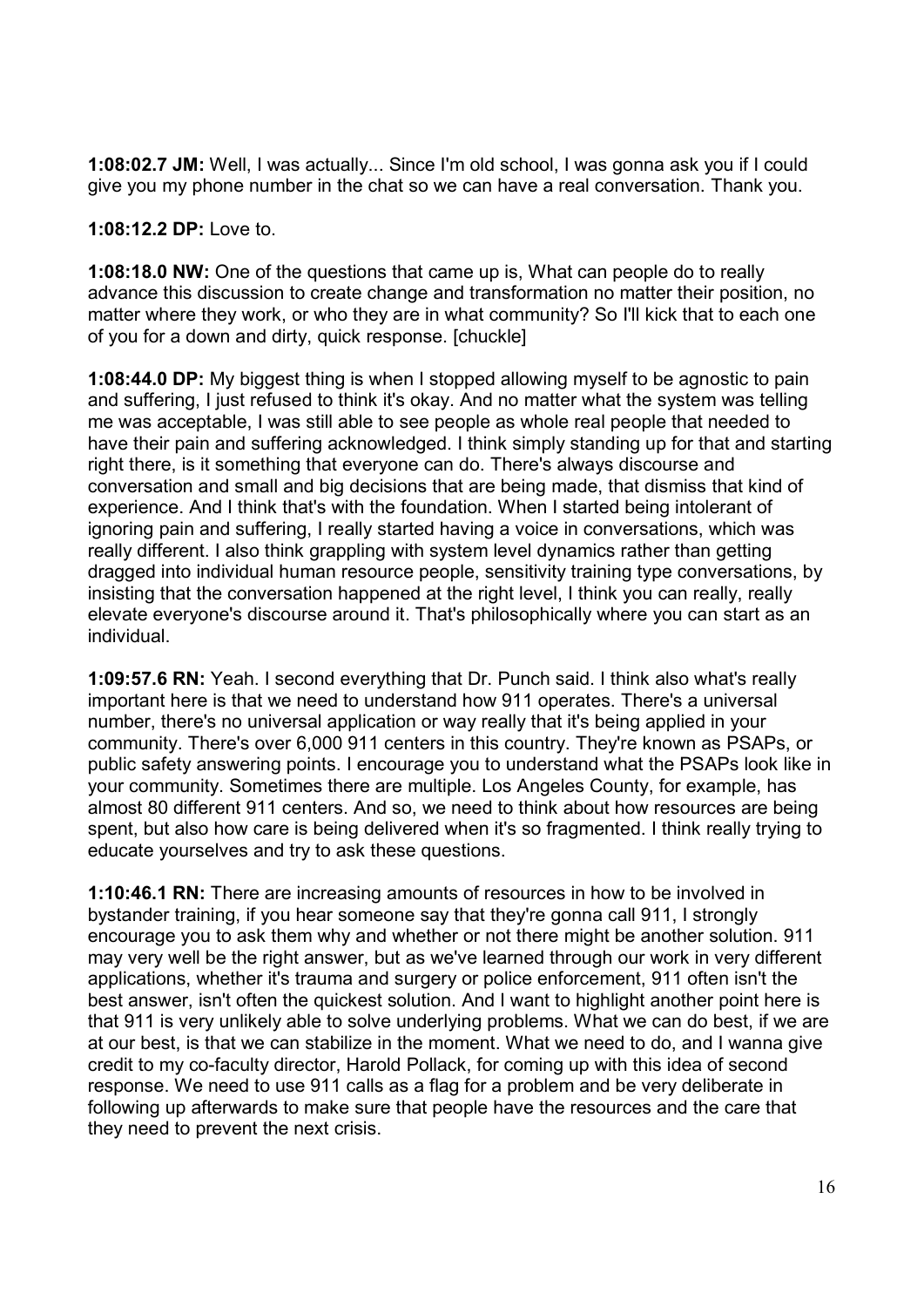**1:08:02.7 JM:** Well, I was actually... Since I'm old school, I was gonna ask you if I could give you my phone number in the chat so we can have a real conversation. Thank you.

**1:08:12.2 DP:** Love to.

**1:08:18.0 NW:** One of the questions that came up is, What can people do to really advance this discussion to create change and transformation no matter their position, no matter where they work, or who they are in what community? So I'll kick that to each one of you for a down and dirty, quick response. [chuckle]

**1:08:44.0 DP:** My biggest thing is when I stopped allowing myself to be agnostic to pain and suffering, I just refused to think it's okay. And no matter what the system was telling me was acceptable, I was still able to see people as whole real people that needed to have their pain and suffering acknowledged. I think simply standing up for that and starting right there, is it something that everyone can do. There's always discourse and conversation and small and big decisions that are being made, that dismiss that kind of experience. And I think that's with the foundation. When I started being intolerant of ignoring pain and suffering, I really started having a voice in conversations, which was really different. I also think grappling with system level dynamics rather than getting dragged into individual human resource people, sensitivity training type conversations, by insisting that the conversation happened at the right level, I think you can really, really elevate everyone's discourse around it. That's philosophically where you can start as an individual.

**1:09:57.6 RN:** Yeah. I second everything that Dr. Punch said. I think also what's really important here is that we need to understand how 911 operates. There's a universal number, there's no universal application or way really that it's being applied in your community. There's over 6,000 911 centers in this country. They're known as PSAPs, or public safety answering points. I encourage you to understand what the PSAPs look like in your community. Sometimes there are multiple. Los Angeles County, for example, has almost 80 different 911 centers. And so, we need to think about how resources are being spent, but also how care is being delivered when it's so fragmented. I think really trying to educate yourselves and try to ask these questions.

**1:10:46.1 RN:** There are increasing amounts of resources in how to be involved in bystander training, if you hear someone say that they're gonna call 911, I strongly encourage you to ask them why and whether or not there might be another solution. 911 may very well be the right answer, but as we've learned through our work in very different applications, whether it's trauma and surgery or police enforcement, 911 often isn't the best answer, isn't often the quickest solution. And I want to highlight another point here is that 911 is very unlikely able to solve underlying problems. What we can do best, if we are at our best, is that we can stabilize in the moment. What we need to do, and I wanna give credit to my co-faculty director, Harold Pollack, for coming up with this idea of second response. We need to use 911 calls as a flag for a problem and be very deliberate in following up afterwards to make sure that people have the resources and the care that they need to prevent the next crisis.